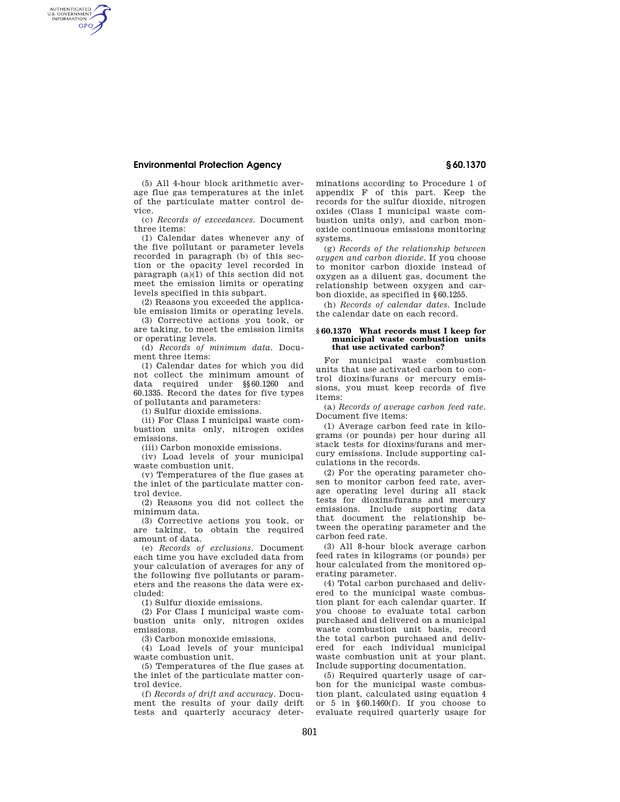# **Environmental Protection Agency § 60.1370**

AUTHENTICATED<br>U.S. GOVERNMENT<br>INFORMATION GPO

(5) All 4-hour block arithmetic average flue gas temperatures at the inlet of the particulate matter control device.

(c) *Records of exceedances.* Document three items:

(1) Calendar dates whenever any of the five pollutant or parameter levels recorded in paragraph (b) of this section or the opacity level recorded in paragraph (a)(1) of this section did not meet the emission limits or operating levels specified in this subpart.

(2) Reasons you exceeded the applicable emission limits or operating levels.

(3) Corrective actions you took, or are taking, to meet the emission limits or operating levels.

(d) *Records of minimum data.* Document three items:

(1) Calendar dates for which you did not collect the minimum amount of data required under §§60.1260 and 60.1335. Record the dates for five types of pollutants and parameters:

(i) Sulfur dioxide emissions.

(ii) For Class I municipal waste combustion units only, nitrogen oxides emissions.

(iii) Carbon monoxide emissions.

(iv) Load levels of your municipal waste combustion unit.

(v) Temperatures of the flue gases at the inlet of the particulate matter control device.

(2) Reasons you did not collect the minimum data.

(3) Corrective actions you took, or are taking, to obtain the required amount of data.

(e) *Records of exclusions.* Document each time you have excluded data from your calculation of averages for any of the following five pollutants or parameters and the reasons the data were excluded:

(1) Sulfur dioxide emissions.

(2) For Class I municipal waste combustion units only, nitrogen oxides emissions.

(3) Carbon monoxide emissions.

(4) Load levels of your municipal waste combustion unit.

(5) Temperatures of the flue gases at the inlet of the particulate matter control device.

(f) *Records of drift and accuracy.* Document the results of your daily drift tests and quarterly accuracy determinations according to Procedure 1 of appendix F of this part. Keep the records for the sulfur dioxide, nitrogen oxides (Class I municipal waste combustion units only), and carbon monoxide continuous emissions monitoring systems.

(g) *Records of the relationship between oxygen and carbon dioxide.* If you choose to monitor carbon dioxide instead of oxygen as a diluent gas, document the relationship between oxygen and carbon dioxide, as specified in §60.1255.

(h) *Records of calendar dates.* Include the calendar date on each record.

#### **§ 60.1370 What records must I keep for municipal waste combustion units that use activated carbon?**

For municipal waste combustion units that use activated carbon to control dioxins/furans or mercury emissions, you must keep records of five items:

(a) *Records of average carbon feed rate.*  Document five items:

(1) Average carbon feed rate in kilograms (or pounds) per hour during all stack tests for dioxins/furans and mercury emissions. Include supporting calculations in the records.

(2) For the operating parameter chosen to monitor carbon feed rate, average operating level during all stack tests for dioxins/furans and mercury emissions. Include supporting data that document the relationship between the operating parameter and the carbon feed rate.

(3) All 8-hour block average carbon feed rates in kilograms (or pounds) per hour calculated from the monitored operating parameter.

(4) Total carbon purchased and delivered to the municipal waste combustion plant for each calendar quarter. If you choose to evaluate total carbon purchased and delivered on a municipal waste combustion unit basis, record the total carbon purchased and delivered for each individual municipal waste combustion unit at your plant. Include supporting documentation.

(5) Required quarterly usage of carbon for the municipal waste combustion plant, calculated using equation 4 or 5 in §60.1460(f). If you choose to evaluate required quarterly usage for